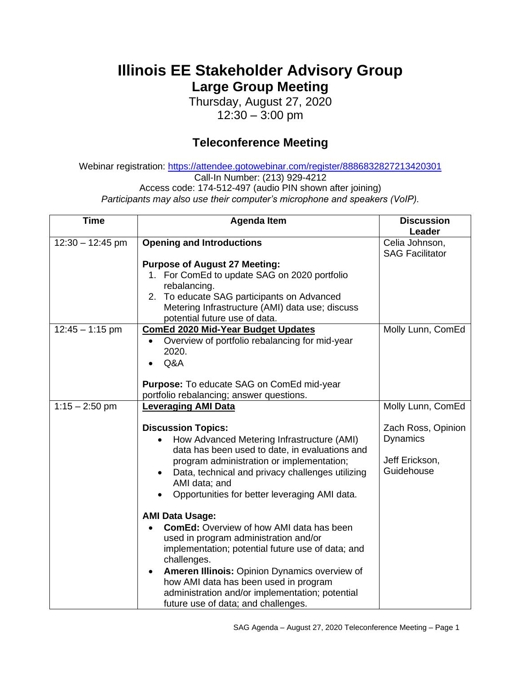## **Illinois EE Stakeholder Advisory Group Large Group Meeting**

Thursday, August 27, 2020 12:30 – 3:00 pm

## **Teleconference Meeting**

Webinar registration: <https://attendee.gotowebinar.com/register/8886832827213420301> Call-In Number: (213) 929-4212 Access code: 174-512-497 (audio PIN shown after joining) *Participants may also use their computer's microphone and speakers (VoIP).*

| <b>Time</b>        | <b>Agenda Item</b>                                                                         | <b>Discussion</b><br>Leader |
|--------------------|--------------------------------------------------------------------------------------------|-----------------------------|
| $12:30 - 12:45$ pm | <b>Opening and Introductions</b>                                                           | Celia Johnson,              |
|                    |                                                                                            | <b>SAG Facilitator</b>      |
|                    | <b>Purpose of August 27 Meeting:</b>                                                       |                             |
|                    | 1. For ComEd to update SAG on 2020 portfolio<br>rebalancing.                               |                             |
|                    | 2. To educate SAG participants on Advanced                                                 |                             |
|                    | Metering Infrastructure (AMI) data use; discuss                                            |                             |
|                    | potential future use of data.                                                              |                             |
| $12:45 - 1:15$ pm  | <b>ComEd 2020 Mid-Year Budget Updates</b>                                                  | Molly Lunn, ComEd           |
|                    | Overview of portfolio rebalancing for mid-year<br>$\bullet$                                |                             |
|                    | 2020.<br>Q&A                                                                               |                             |
|                    |                                                                                            |                             |
|                    | Purpose: To educate SAG on ComEd mid-year                                                  |                             |
|                    | portfolio rebalancing; answer questions.                                                   |                             |
| $1:15 - 2:50$ pm   | <b>Leveraging AMI Data</b>                                                                 | Molly Lunn, ComEd           |
|                    | <b>Discussion Topics:</b>                                                                  | Zach Ross, Opinion          |
|                    | How Advanced Metering Infrastructure (AMI)                                                 | <b>Dynamics</b>             |
|                    | data has been used to date, in evaluations and                                             |                             |
|                    | program administration or implementation;                                                  | Jeff Erickson,              |
|                    | Data, technical and privacy challenges utilizing<br>AMI data; and                          | Guidehouse                  |
|                    | Opportunities for better leveraging AMI data.                                              |                             |
|                    |                                                                                            |                             |
|                    | <b>AMI Data Usage:</b>                                                                     |                             |
|                    | <b>ComEd:</b> Overview of how AMI data has been                                            |                             |
|                    | used in program administration and/or<br>implementation; potential future use of data; and |                             |
|                    | challenges.                                                                                |                             |
|                    | Ameren Illinois: Opinion Dynamics overview of                                              |                             |
|                    | how AMI data has been used in program                                                      |                             |
|                    | administration and/or implementation; potential                                            |                             |
|                    | future use of data; and challenges.                                                        |                             |